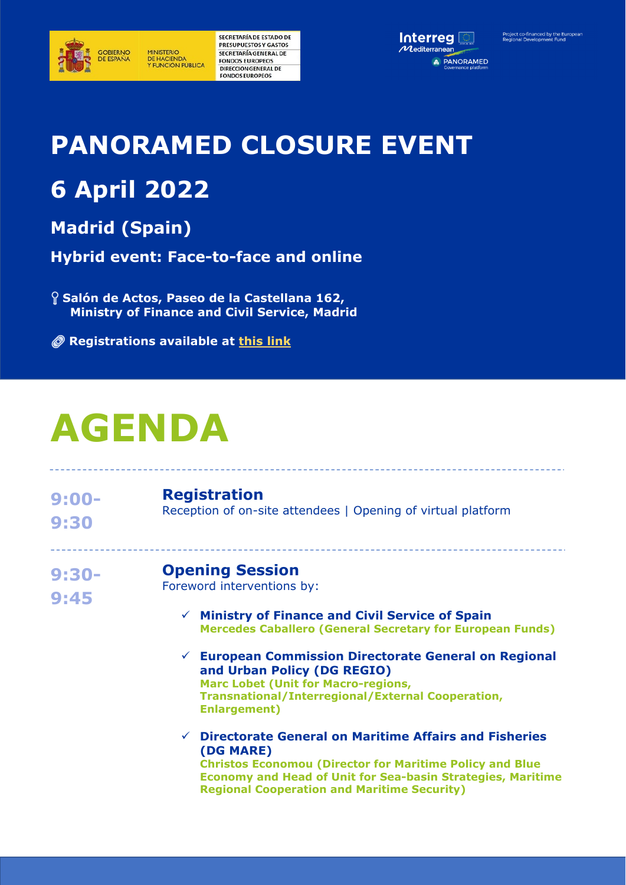

**MINISTERIO** DE HACIENDA<br>Y FUNCIÓN PÚBLICA

SECRETARÍA DE ESTADO DE PRESUPUESTOS Y GASTOS SECRETARÍA GENERAL DE **EONDOS EUROPEOS** DIRECCIÓN GENERAL DE **FONDOS EUROPEOS** 



# **PANORAMED CLOSURE EVENT**

## **6 April 2022**

**Madrid (Spain)** 

**Hybrid event: Face-to-face and online** 

 **Salón de Actos, Paseo de la Castellana 162, Ministry of Finance and Civil Service, Madrid** 

**@** Registrations available at this link

# **AGENDA**

| $9:00 -$<br>9:30 | <b>Registration</b><br>Reception of on-site attendees   Opening of virtual platform                                                                                                                                                                                                                                                                                                                                   |
|------------------|-----------------------------------------------------------------------------------------------------------------------------------------------------------------------------------------------------------------------------------------------------------------------------------------------------------------------------------------------------------------------------------------------------------------------|
| $9:30-$<br>9:45  | <b>Opening Session</b><br>Foreword interventions by:<br>$\checkmark$ Ministry of Finance and Civil Service of Spain<br><b>Mercedes Caballero (General Secretary for European Funds)</b><br>$\checkmark$ European Commission Directorate General on Regional<br>and Urban Policy (DG REGIO)<br><b>Marc Lobet (Unit for Macro-regions,</b><br>Transnational/Interregional/External Cooperation,<br><b>Enlargement</b> ) |
|                  | <b>Directorate General on Maritime Affairs and Fisheries</b><br>$\checkmark$<br>(DG MARE)<br><b>Christos Economou (Director for Maritime Policy and Blue</b><br><b>Economy and Head of Unit for Sea-basin Strategies, Maritime</b><br><b>Regional Cooperation and Maritime Security)</b>                                                                                                                              |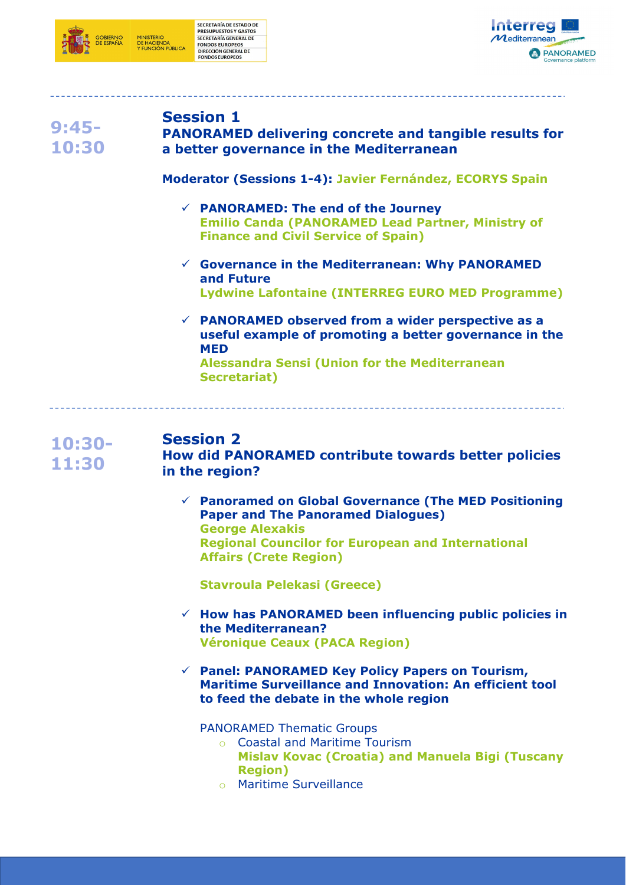



### **9:45- 10:30**

#### **Session 1 PANORAMED delivering concrete and tangible results for a better governance in the Mediterranean**

**Moderator (Sessions 1-4): Javier Fernández, ECORYS Spain** 

- **PANORAMED: The end of the Journey Emilio Canda (PANORAMED Lead Partner, Ministry of Finance and Civil Service of Spain)**
- **Governance in the Mediterranean: Why PANORAMED and Future Lydwine Lafontaine (INTERREG EURO MED Programme)**
- **PANORAMED observed from a wider perspective as a useful example of promoting a better governance in the MED Alessandra Sensi (Union for the Mediterranean Secretariat)**

**10:30- 11:30**

#### **Session 2**

**How did PANORAMED contribute towards better policies in the region?** 

 **Panoramed on Global Governance (The MED Positioning Paper and The Panoramed Dialogues) George Alexakis Regional Councilor for European and International Affairs (Crete Region)** 

**Stavroula Pelekasi (Greece)** 

- **How has PANORAMED been influencing public policies in the Mediterranean? Véronique Ceaux (PACA Region)**
- **Panel: PANORAMED Key Policy Papers on Tourism, Maritime Surveillance and Innovation: An efficient tool to feed the debate in the whole region**

PANORAMED Thematic Groups

- o Coastal and Maritime Tourism **Mislav Kovac (Croatia) and Manuela Bigi (Tuscany Region)**
- o Maritime Surveillance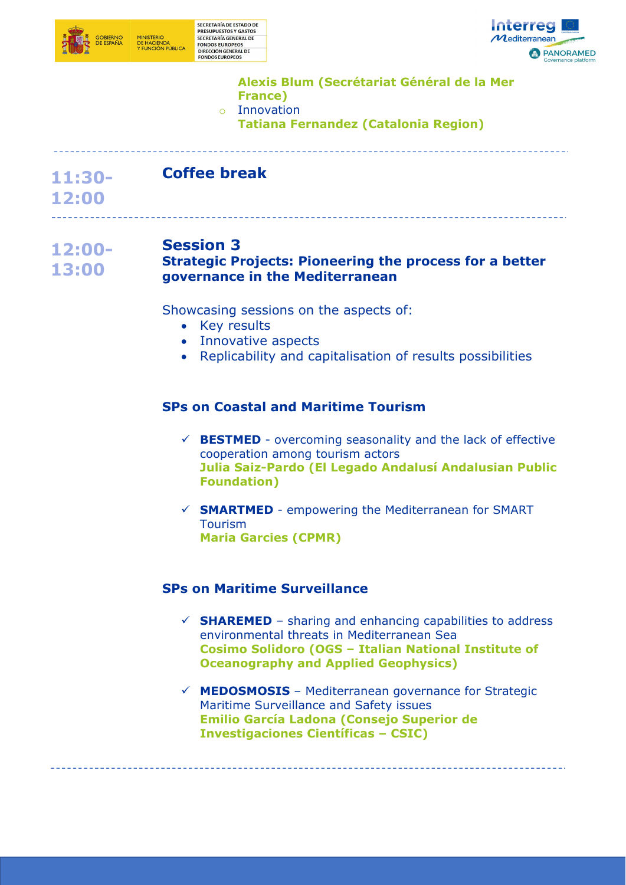



#### **Alexis Blum (Secrétariat Général de la Mer France)**

- o Innovation
- **Tatiana Fernandez (Catalonia Region)**
- 
- **11:30- Coffee break**
- **12:00**

#### **12:00- Session 3**

#### **13:00 Strategic Projects: Pioneering the process for a better governance in the Mediterranean**

Showcasing sessions on the aspects of:

- Key results
- Innovative aspects
- Replicability and capitalisation of results possibilities

#### **SPs on Coastal and Maritime Tourism**

- $\checkmark$  **BESTMED** overcoming seasonality and the lack of effective cooperation among tourism actors **Julia Saiz-Pardo (El Legado Andalusí Andalusian Public Foundation)**
- **SMARTMED**  empowering the Mediterranean for SMART **Tourism Maria Garcies (CPMR)**

#### **SPs on Maritime Surveillance**

- $\checkmark$  **SHAREMED** sharing and enhancing capabilities to address environmental threats in Mediterranean Sea **Cosimo Solidoro (OGS – Italian National Institute of Oceanography and Applied Geophysics)**
- **MEDOSMOSIS**  Mediterranean governance for Strategic Maritime Surveillance and Safety issues **Emilio García Ladona (Consejo Superior de Investigaciones Científicas – CSIC)**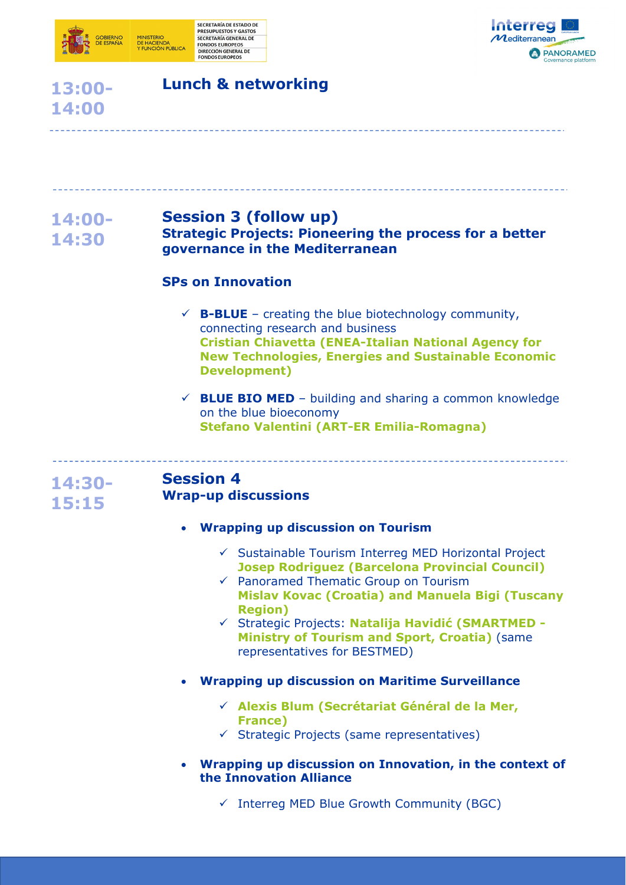



#### **13:00- 14:00**

#### **Lunch & networking**

#### **14:00- 14:30 Session 3 (follow up) Strategic Projects: Pioneering the process for a better governance in the Mediterranean**

#### **SPs on Innovation**

- $\checkmark$  **B-BLUE** creating the blue biotechnology community, connecting research and business **Cristian Chiavetta (ENEA-Italian National Agency for New Technologies, Energies and Sustainable Economic Development)**
- $\checkmark$  **BLUE BIO MED** building and sharing a common knowledge on the blue bioeconomy **Stefano Valentini (ART-ER Emilia-Romagna)**

**14:30- 15:15** 

#### **Session 4 Wrap-up discussions**

- **Wrapping up discussion on Tourism** 
	- $\checkmark$  Sustainable Tourism Interreg MED Horizontal Project **Josep Rodriguez (Barcelona Provincial Council)**
	- $\checkmark$  Panoramed Thematic Group on Tourism **Mislav Kovac (Croatia) and Manuela Bigi (Tuscany Region)**
	- Strategic Projects: **Natalija Havidić (SMARTMED - Ministry of Tourism and Sport, Croatia)** (same representatives for BESTMED)
- **Wrapping up discussion on Maritime Surveillance** 
	- **Alexis Blum (Secrétariat Général de la Mer, France)**
	- $\checkmark$  Strategic Projects (same representatives)
- **Wrapping up discussion on Innovation, in the context of the Innovation Alliance** 
	- $\checkmark$  Interreg MED Blue Growth Community (BGC)